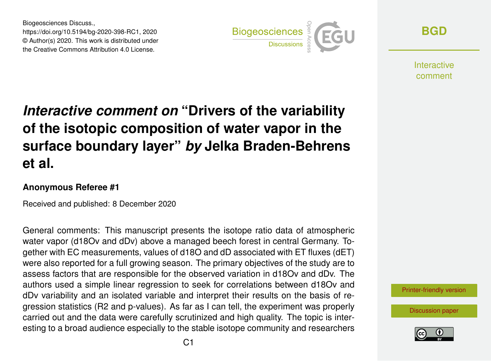Biogeosciences Discuss., https://doi.org/10.5194/bg-2020-398-RC1, 2020 © Author(s) 2020. This work is distributed under the Creative Commons Attribution 4.0 License.



**[BGD](https://bg.copernicus.org/preprints/)**

**Interactive** comment

# *Interactive comment on* **"Drivers of the variability of the isotopic composition of water vapor in the surface boundary layer"** *by* **Jelka Braden-Behrens et al.**

#### **Anonymous Referee #1**

Received and published: 8 December 2020

General comments: This manuscript presents the isotope ratio data of atmospheric water vapor (d18Ov and dDv) above a managed beech forest in central Germany. Together with EC measurements, values of d18O and dD associated with ET fluxes (dET) were also reported for a full growing season. The primary objectives of the study are to assess factors that are responsible for the observed variation in d18Ov and dDv. The authors used a simple linear regression to seek for correlations between d18Ov and dDv variability and an isolated variable and interpret their results on the basis of regression statistics (R2 and p-values). As far as I can tell, the experiment was properly carried out and the data were carefully scrutinized and high quality. The topic is interesting to a broad audience especially to the stable isotope community and researchers

[Printer-friendly version](https://bg.copernicus.org/preprints/bg-2020-398/bg-2020-398-RC1-print.pdf)

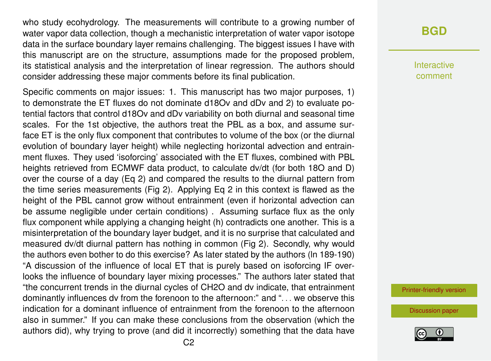who study ecohydrology. The measurements will contribute to a growing number of water vapor data collection, though a mechanistic interpretation of water vapor isotope data in the surface boundary layer remains challenging. The biggest issues I have with this manuscript are on the structure, assumptions made for the proposed problem, its statistical analysis and the interpretation of linear regression. The authors should consider addressing these major comments before its final publication.

Specific comments on major issues: 1. This manuscript has two major purposes, 1) to demonstrate the ET fluxes do not dominate d18Ov and dDv and 2) to evaluate potential factors that control d18Ov and dDv variability on both diurnal and seasonal time scales. For the 1st objective, the authors treat the PBL as a box, and assume surface ET is the only flux component that contributes to volume of the box (or the diurnal evolution of boundary layer height) while neglecting horizontal advection and entrainment fluxes. They used 'isoforcing' associated with the ET fluxes, combined with PBL heights retrieved from ECMWF data product, to calculate dv/dt (for both 18O and D) over the course of a day (Eq 2) and compared the results to the diurnal pattern from the time series measurements (Fig 2). Applying Eq 2 in this context is flawed as the height of the PBL cannot grow without entrainment (even if horizontal advection can be assume negligible under certain conditions) . Assuming surface flux as the only flux component while applying a changing height (h) contradicts one another. This is a misinterpretation of the boundary layer budget, and it is no surprise that calculated and measured dv/dt diurnal pattern has nothing in common (Fig 2). Secondly, why would the authors even bother to do this exercise? As later stated by the authors (ln 189-190) "A discussion of the influence of local ET that is purely based on isoforcing IF overlooks the influence of boundary layer mixing processes." The authors later stated that "the concurrent trends in the diurnal cycles of CH2O and dv indicate, that entrainment dominantly influences dv from the forenoon to the afternoon:" and ". . . we observe this indication for a dominant influence of entrainment from the forenoon to the afternoon also in summer." If you can make these conclusions from the observation (which the authors did), why trying to prove (and did it incorrectly) something that the data have

## **[BGD](https://bg.copernicus.org/preprints/)**

Interactive comment

[Printer-friendly version](https://bg.copernicus.org/preprints/bg-2020-398/bg-2020-398-RC1-print.pdf)

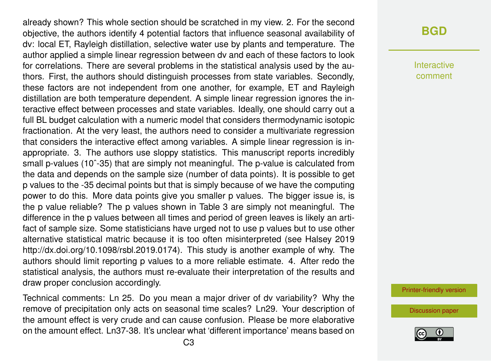already shown? This whole section should be scratched in my view. 2. For the second objective, the authors identify 4 potential factors that influence seasonal availability of dv: local ET, Rayleigh distillation, selective water use by plants and temperature. The author applied a simple linear regression between dv and each of these factors to look for correlations. There are several problems in the statistical analysis used by the authors. First, the authors should distinguish processes from state variables. Secondly, these factors are not independent from one another, for example, ET and Rayleigh distillation are both temperature dependent. A simple linear regression ignores the interactive effect between processes and state variables. Ideally, one should carry out a full BL budget calculation with a numeric model that considers thermodynamic isotopic fractionation. At the very least, the authors need to consider a multivariate regression that considers the interactive effect among variables. A simple linear regression is inappropriate. 3. The authors use sloppy statistics. This manuscript reports incredibly small p-values (10<sup>o</sup>-35) that are simply not meaningful. The p-value is calculated from the data and depends on the sample size (number of data points). It is possible to get p values to the -35 decimal points but that is simply because of we have the computing power to do this. More data points give you smaller p values. The bigger issue is, is the p value reliable? The p values shown in Table 3 are simply not meaningful. The difference in the p values between all times and period of green leaves is likely an artifact of sample size. Some statisticians have urged not to use p values but to use other alternative statistical matric because it is too often misinterpreted (see Halsey 2019 http://dx.doi.org/10.1098/rsbl.2019.0174). This study is another example of why. The authors should limit reporting p values to a more reliable estimate. 4. After redo the statistical analysis, the authors must re-evaluate their interpretation of the results and draw proper conclusion accordingly.

Technical comments: Ln 25. Do you mean a major driver of dv variability? Why the remove of precipitation only acts on seasonal time scales? Ln29. Your description of the amount effect is very crude and can cause confusion. Please be more elaborative on the amount effect. Ln37-38. It's unclear what 'different importance' means based on

### **[BGD](https://bg.copernicus.org/preprints/)**

Interactive comment

[Printer-friendly version](https://bg.copernicus.org/preprints/bg-2020-398/bg-2020-398-RC1-print.pdf)

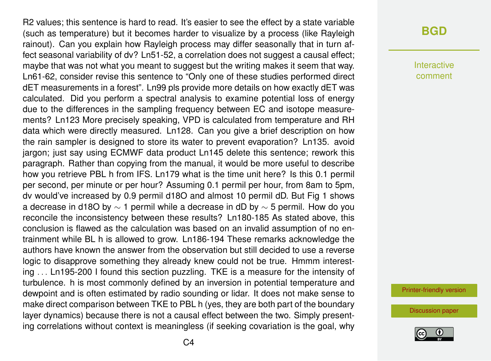R2 values; this sentence is hard to read. It's easier to see the effect by a state variable (such as temperature) but it becomes harder to visualize by a process (like Rayleigh rainout). Can you explain how Rayleigh process may differ seasonally that in turn affect seasonal variability of dv? Ln51-52, a correlation does not suggest a causal effect; maybe that was not what you meant to suggest but the writing makes it seem that way. Ln61-62, consider revise this sentence to "Only one of these studies performed direct dET measurements in a forest". Ln99 pls provide more details on how exactly dET was calculated. Did you perform a spectral analysis to examine potential loss of energy due to the differences in the sampling frequency between EC and isotope measurements? Ln123 More precisely speaking, VPD is calculated from temperature and RH data which were directly measured. Ln128. Can you give a brief description on how the rain sampler is designed to store its water to prevent evaporation? Ln135. avoid jargon; just say using ECMWF data product Ln145 delete this sentence; rework this paragraph. Rather than copying from the manual, it would be more useful to describe how you retrieve PBL h from IFS. Ln179 what is the time unit here? Is this 0.1 permil per second, per minute or per hour? Assuming 0.1 permil per hour, from 8am to 5pm, dv would've increased by 0.9 permil d18O and almost 10 permil dD. But Fig 1 shows a decrease in d18O by  $\sim$  1 permil while a decrease in dD by  $\sim$  5 permil. How do you reconcile the inconsistency between these results? Ln180-185 As stated above, this conclusion is flawed as the calculation was based on an invalid assumption of no entrainment while BL h is allowed to grow. Ln186-194 These remarks acknowledge the authors have known the answer from the observation but still decided to use a reverse logic to disapprove something they already knew could not be true. Hmmm interesting . . . Ln195-200 I found this section puzzling. TKE is a measure for the intensity of turbulence. h is most commonly defined by an inversion in potential temperature and dewpoint and is often estimated by radio sounding or lidar. It does not make sense to make direct comparison between TKE to PBL h (yes, they are both part of the boundary layer dynamics) because there is not a causal effect between the two. Simply presenting correlations without context is meaningless (if seeking covariation is the goal, why

#### **[BGD](https://bg.copernicus.org/preprints/)**

Interactive comment

[Printer-friendly version](https://bg.copernicus.org/preprints/bg-2020-398/bg-2020-398-RC1-print.pdf)